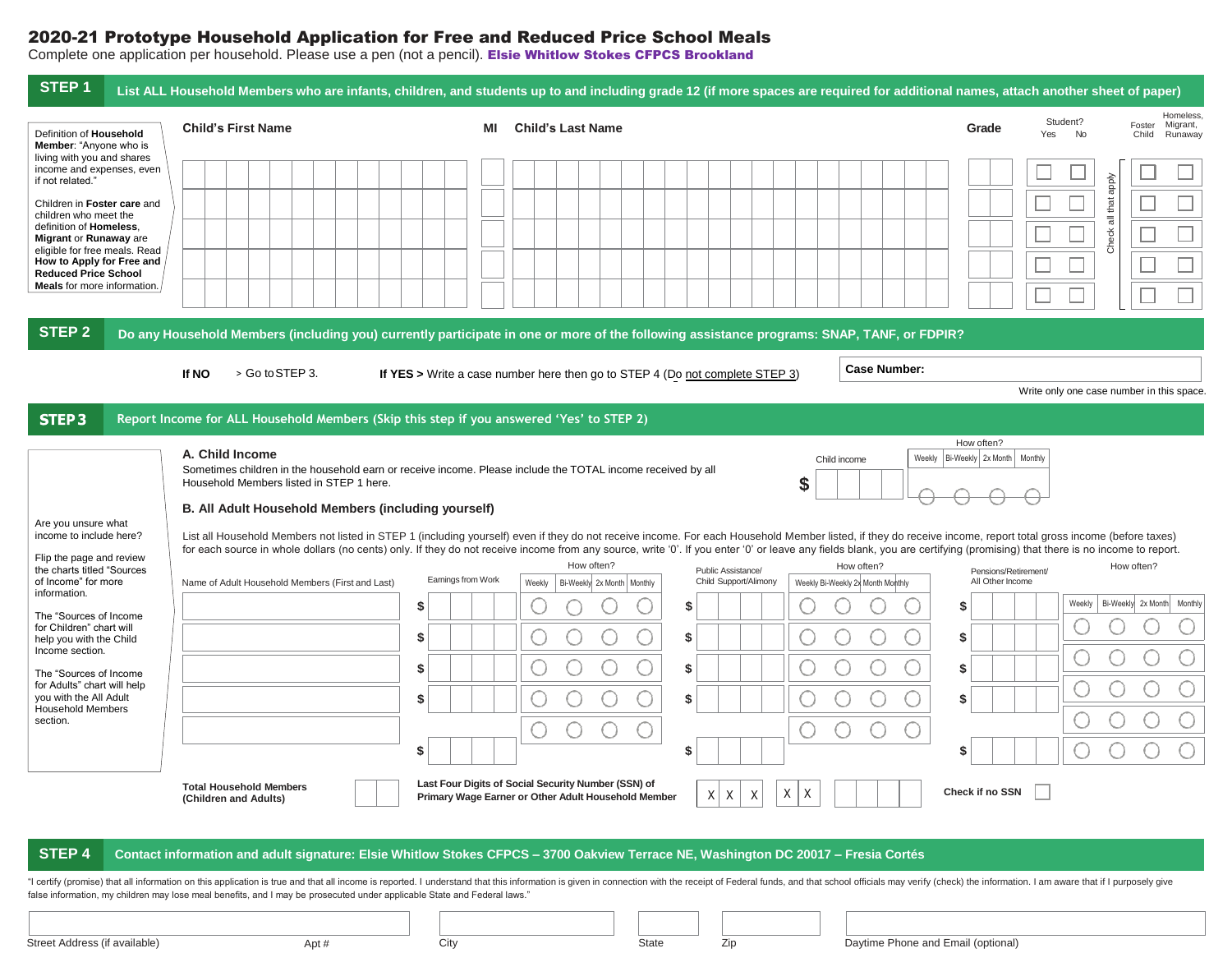## 2020-21 Prototype Household Application for Free and Reduced Price School Meals

Complete one application per household. Please use a pen (not a pencil). Elsie Whitlow Stokes CFPCS Brookland

| STEP <sub>1</sub>                                                                                           |                                                             | List ALL Household Members who are infants, children, and students up to and including grade 12 (if more spaces are required for additional names, attach another sheet of paper)                                                                                                                                                                                                                                                           |                                                                                              |  |  |  |  |  |  |  |  |
|-------------------------------------------------------------------------------------------------------------|-------------------------------------------------------------|---------------------------------------------------------------------------------------------------------------------------------------------------------------------------------------------------------------------------------------------------------------------------------------------------------------------------------------------------------------------------------------------------------------------------------------------|----------------------------------------------------------------------------------------------|--|--|--|--|--|--|--|--|
| Definition of Household<br>Member: "Anyone who is                                                           | <b>Child's First Name</b>                                   | ΜI<br><b>Child's Last Name</b>                                                                                                                                                                                                                                                                                                                                                                                                              | Homeless.<br>Student?<br>Foster<br>Migrant,<br>Grade<br>Yes<br><b>No</b><br>Child<br>Runaway |  |  |  |  |  |  |  |  |
| living with you and shares<br>income and expenses, even<br>if not related."<br>Children in Foster care and  |                                                             |                                                                                                                                                                                                                                                                                                                                                                                                                                             | dode                                                                                         |  |  |  |  |  |  |  |  |
| children who meet the<br>definition of Homeless,<br>Migrant or Runaway are<br>eligible for free meals. Read |                                                             |                                                                                                                                                                                                                                                                                                                                                                                                                                             | Check all that                                                                               |  |  |  |  |  |  |  |  |
| How to Apply for Free and<br><b>Reduced Price School</b><br><b>Meals</b> for more information.              |                                                             |                                                                                                                                                                                                                                                                                                                                                                                                                                             |                                                                                              |  |  |  |  |  |  |  |  |
| STEP <sub>2</sub>                                                                                           |                                                             | Do any Household Members (including you) currently participate in one or more of the following assistance programs: SNAP, TANF, or FDPIR?                                                                                                                                                                                                                                                                                                   |                                                                                              |  |  |  |  |  |  |  |  |
|                                                                                                             | > Go to STEP 3.<br>If NO                                    | <b>Case Number:</b><br>If YES > Write a case number here then go to STEP 4 (Do not complete STEP 3)                                                                                                                                                                                                                                                                                                                                         |                                                                                              |  |  |  |  |  |  |  |  |
| STEP <sub>3</sub>                                                                                           |                                                             | Report Income for ALL Household Members (Skip this step if you answered 'Yes' to STEP 2)                                                                                                                                                                                                                                                                                                                                                    | Write only one case number in this space.                                                    |  |  |  |  |  |  |  |  |
|                                                                                                             |                                                             |                                                                                                                                                                                                                                                                                                                                                                                                                                             | How often?                                                                                   |  |  |  |  |  |  |  |  |
|                                                                                                             | A. Child Income<br>Household Members listed in STEP 1 here. | Child income<br>Sometimes children in the household earn or receive income. Please include the TOTAL income received by all<br>\$                                                                                                                                                                                                                                                                                                           | Bi-Weekly 2x Month   Monthly<br>Weekly                                                       |  |  |  |  |  |  |  |  |
|                                                                                                             | B. All Adult Household Members (including yourself)         |                                                                                                                                                                                                                                                                                                                                                                                                                                             |                                                                                              |  |  |  |  |  |  |  |  |
| Are you unsure what<br>income to include here?                                                              |                                                             | List all Household Members not listed in STEP 1 (including yourself) even if they do not receive income. For each Household Member listed, if they do receive income, report total gross income (before taxes)<br>for each source in whole dollars (no cents) only. If they do not receive income from any source, write '0'. If you enter '0' or leave any fields blank, you are certifying (promising) that there is no income to report. |                                                                                              |  |  |  |  |  |  |  |  |
| Flip the page and review<br>the charts titled "Sources<br>of Income" for more                               | Name of Adult Household Members (First and Last)            | How often?<br>How often?<br>Public Assistance/<br>Earnings from Work<br>Child Support/Alimony<br>Bi-Weekly 2x Month   Monthly<br>Weekly<br>Weekly Bi-Weekly 2x Month Monthly                                                                                                                                                                                                                                                                | How often?<br>Pensions/Retirement/<br>All Other Income                                       |  |  |  |  |  |  |  |  |
| information.                                                                                                |                                                             | \$<br>\$                                                                                                                                                                                                                                                                                                                                                                                                                                    | Bi-Weekly 2x Month Monthly<br>Weekly<br>S                                                    |  |  |  |  |  |  |  |  |
| The "Sources of Income<br>for Children" chart will<br>help you with the Child                               |                                                             | \$<br>\$                                                                                                                                                                                                                                                                                                                                                                                                                                    | \$                                                                                           |  |  |  |  |  |  |  |  |
| Income section.<br>The "Sources of Income                                                                   |                                                             | \$<br>\$                                                                                                                                                                                                                                                                                                                                                                                                                                    | \$                                                                                           |  |  |  |  |  |  |  |  |
| for Adults" chart will help<br>you with the All Adult                                                       |                                                             | \$<br>\$                                                                                                                                                                                                                                                                                                                                                                                                                                    | \$                                                                                           |  |  |  |  |  |  |  |  |
| <b>Household Members</b><br>section.                                                                        |                                                             |                                                                                                                                                                                                                                                                                                                                                                                                                                             |                                                                                              |  |  |  |  |  |  |  |  |
|                                                                                                             |                                                             | \$<br>\$                                                                                                                                                                                                                                                                                                                                                                                                                                    | S                                                                                            |  |  |  |  |  |  |  |  |
|                                                                                                             | <b>Total Household Members</b><br>(Children and Adults)     | Last Four Digits of Social Security Number (SSN) of<br>Χ<br>Χ<br>$X$ $X$<br>Χ<br>Primary Wage Earner or Other Adult Household Member                                                                                                                                                                                                                                                                                                        | Check if no SSN                                                                              |  |  |  |  |  |  |  |  |
| <b>STEP4</b>                                                                                                |                                                             | Contact information and adult signature: Elsie Whitlow Stokes CFPCS - 3700 Oakview Terrace NE, Washington DC 20017 - Fresia Cortés                                                                                                                                                                                                                                                                                                          |                                                                                              |  |  |  |  |  |  |  |  |
|                                                                                                             |                                                             |                                                                                                                                                                                                                                                                                                                                                                                                                                             |                                                                                              |  |  |  |  |  |  |  |  |

"I certify (promise) that all information on this application is true and that all income is reported. I understand that this information is given in connection with the receipt of Federal funds, and that school officials false information, my children may lose meal benefits, and I may be prosecuted under applicable State and Federal laws."

| Street Address (if available) | Apt # | City | <b>State</b> | ZID. | Daytime Phone and Email (optional) |
|-------------------------------|-------|------|--------------|------|------------------------------------|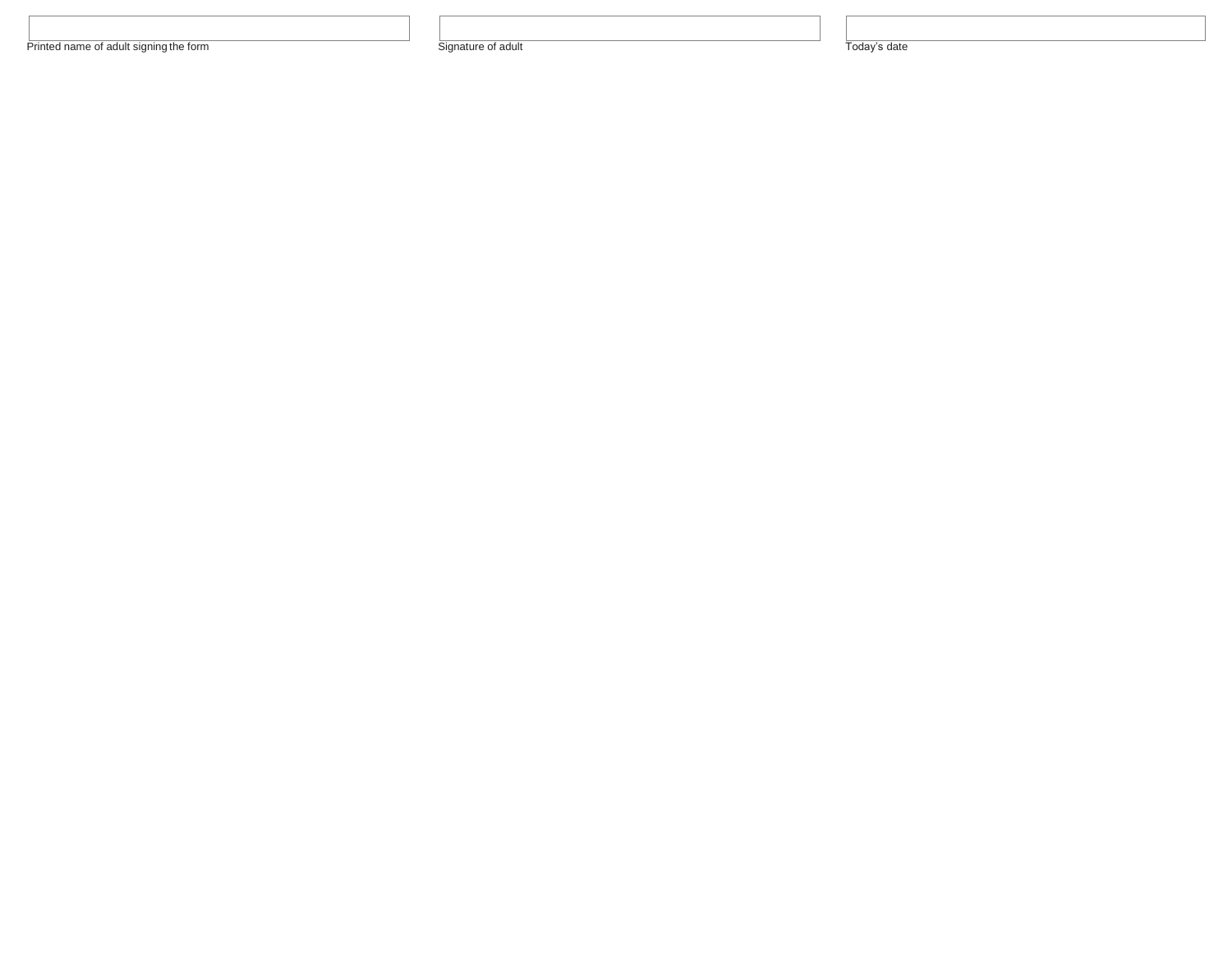Printed name of adult signing the form Signature of adult Today's date